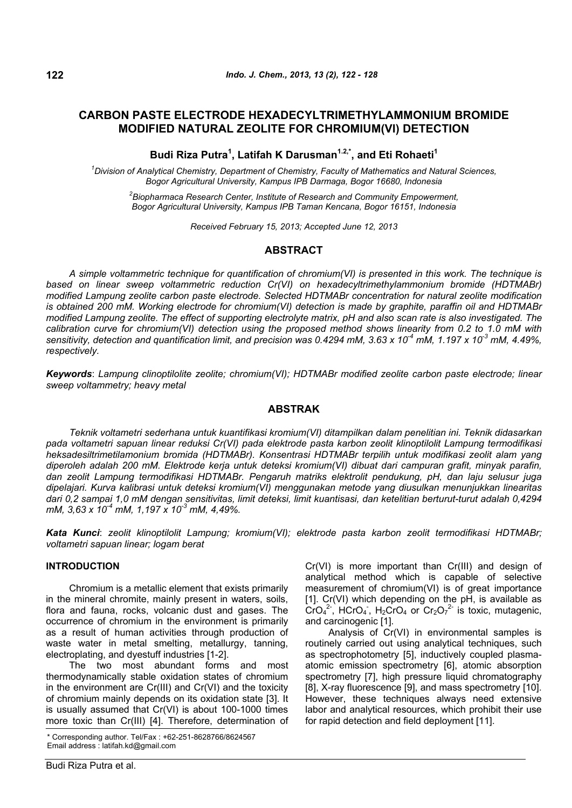# **CARBON PASTE ELECTRODE HEXADECYLTRIMETHYLAMMONIUM BROMIDE MODIFIED NATURAL ZEOLITE FOR CHROMIUM(VI) DETECTION**

## Budi Riza Putra<sup>1</sup>, Latifah K Darusman<sup>1.2,\*</sup>, and Eti Rohaeti<sup>1</sup>

*1 Division of Analytical Chemistry, Department of Chemistry, Faculty of Mathematics and Natural Sciences, Bogor Agricultural University, Kampus IPB Darmaga, Bogor 16680, Indonesia* 

*2 Biopharmaca Research Center, Institute of Research and Community Empowerment, Bogor Agricultural University, Kampus IPB Taman Kencana, Bogor 16151, Indonesia*

*Received February 15, 2013; Accepted June 12, 2013* 

## **ABSTRACT**

*A simple voltammetric technique for quantification of chromium(VI) is presented in this work. The technique is based on linear sweep voltammetric reduction Cr(VI) on hexadecyltrimethylammonium bromide (HDTMABr) modified Lampung zeolite carbon paste electrode. Selected HDTMABr concentration for natural zeolite modification is obtained 200 mM. Working electrode for chromium(VI) detection is made by graphite, paraffin oil and HDTMABr modified Lampung zeolite. The effect of supporting electrolyte matrix, pH and also scan rate is also investigated. The calibration curve for chromium(VI) detection using the proposed method shows linearity from 0.2 to 1.0 mM with sensitivity, detection and quantification limit, and precision was 0.4294 mM, 3.63 x 10-4 mM, 1.197 x 10-3 mM, 4.49%, respectively.* 

*Keywords*: *Lampung clinoptilolite zeolite; chromium(VI); HDTMABr modified zeolite carbon paste electrode; linear sweep voltammetry; heavy metal* 

## **ABSTRAK**

*Teknik voltametri sederhana untuk kuantifikasi kromium(VI) ditampilkan dalam penelitian ini. Teknik didasarkan pada voltametri sapuan linear reduksi Cr(VI) pada elektrode pasta karbon zeolit klinoptilolit Lampung termodifikasi heksadesiltrimetilamonium bromida (HDTMABr). Konsentrasi HDTMABr terpilih untuk modifikasi zeolit alam yang diperoleh adalah 200 mM. Elektrode kerja untuk deteksi kromium(VI) dibuat dari campuran grafit, minyak parafin, dan zeolit Lampung termodifikasi HDTMABr. Pengaruh matriks elektrolit pendukung, pH, dan laju selusur juga dipelajari. Kurva kalibrasi untuk deteksi kromium(VI) menggunakan metode yang diusulkan menunjukkan linearitas dari 0,2 sampai 1,0 mM dengan sensitivitas, limit deteksi, limit kuantisasi, dan ketelitian berturut-turut adalah 0,4294 mM, 3,63 x 10-4 mM, 1,197 x 10-3 mM, 4,49%.* 

*Kata Kunci*: *zeolit klinoptilolit Lampung; kromium(VI); elektrode pasta karbon zeolit termodifikasi HDTMABr; voltametri sapuan linear; logam berat* 

## **INTRODUCTION**

Chromium is a metallic element that exists primarily in the mineral chromite, mainly present in waters, soils, flora and fauna, rocks, volcanic dust and gases. The occurrence of chromium in the environment is primarily as a result of human activities through production of waste water in metal smelting, metallurgy, tanning, electroplating, and dyestuff industries [1-2].

The two most abundant forms and most thermodynamically stable oxidation states of chromium in the environment are Cr(III) and Cr(VI) and the toxicity of chromium mainly depends on its oxidation state [3]. It is usually assumed that Cr(VI) is about 100-1000 times more toxic than Cr(III) [4]. Therefore, determination of

Cr(VI) is more important than Cr(III) and design of analytical method which is capable of selective measurement of chromium(VI) is of great importance [1]. Cr(VI) which depending on the pH, is available as  $\text{CrO}_4^2$ , HCrO<sub>4</sub>, H<sub>2</sub>CrO<sub>4</sub> or  $\text{Cr}_2\text{O}_7^2$  is toxic, mutagenic, and carcinogenic [1].

Analysis of Cr(VI) in environmental samples is routinely carried out using analytical techniques, such as spectrophotometry [5], inductively coupled plasmaatomic emission spectrometry [6], atomic absorption spectrometry [7], high pressure liquid chromatography [8], X-ray fluorescence [9], and mass spectrometry [10]. However, these techniques always need extensive labor and analytical resources, which prohibit their use for rapid detection and field deployment [11].

<sup>\*</sup> Corresponding author. Tel/Fax : +62-251-8628766/8624567 Email address : latifah.kd@gmail.com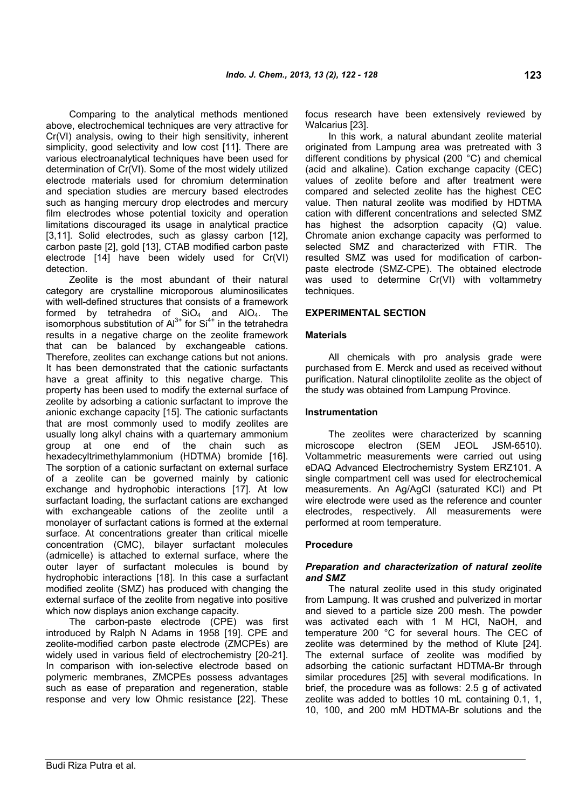Comparing to the analytical methods mentioned above, electrochemical techniques are very attractive for Cr(VI) analysis, owing to their high sensitivity, inherent simplicity, good selectivity and low cost [11]. There are various electroanalytical techniques have been used for determination of Cr(VI). Some of the most widely utilized electrode materials used for chromium determination and speciation studies are mercury based electrodes such as hanging mercury drop electrodes and mercury film electrodes whose potential toxicity and operation limitations discouraged its usage in analytical practice [3,11]. Solid electrodes, such as glassy carbon [12], carbon paste [2], gold [13], CTAB modified carbon paste electrode [14] have been widely used for Cr(VI) detection.

Zeolite is the most abundant of their natural category are crystalline microporous aluminosilicates with well-defined structures that consists of a framework formed by tetrahedra of  $SiO<sub>4</sub>$  and AIO<sub>4</sub>. The isomorphous substitution of  $Al^{3+}$  for  $Si^{4+}$  in the tetrahedra results in a negative charge on the zeolite framework that can be balanced by exchangeable cations. Therefore, zeolites can exchange cations but not anions. It has been demonstrated that the cationic surfactants have a great affinity to this negative charge. This property has been used to modify the external surface of zeolite by adsorbing a cationic surfactant to improve the anionic exchange capacity [15]. The cationic surfactants that are most commonly used to modify zeolites are usually long alkyl chains with a quarternary ammonium group at one end of the chain such as hexadecyltrimethylammonium (HDTMA) bromide [16]. The sorption of a cationic surfactant on external surface of a zeolite can be governed mainly by cationic exchange and hydrophobic interactions [17]. At low surfactant loading, the surfactant cations are exchanged with exchangeable cations of the zeolite until a monolayer of surfactant cations is formed at the external surface. At concentrations greater than critical micelle concentration (CMC), bilayer surfactant molecules (admicelle) is attached to external surface, where the outer layer of surfactant molecules is bound by hydrophobic interactions [18]. In this case a surfactant modified zeolite (SMZ) has produced with changing the external surface of the zeolite from negative into positive which now displays anion exchange capacity.

The carbon-paste electrode (CPE) was first introduced by Ralph N Adams in 1958 [19]. CPE and zeolite-modified carbon paste electrode (ZMCPEs) are widely used in various field of electrochemistry [20-21]. In comparison with ion-selective electrode based on polymeric membranes, ZMCPEs possess advantages such as ease of preparation and regeneration, stable response and very low Ohmic resistance [22]. These focus research have been extensively reviewed by Walcarius [23].

In this work, a natural abundant zeolite material originated from Lampung area was pretreated with 3 different conditions by physical (200 °C) and chemical (acid and alkaline). Cation exchange capacity (CEC) values of zeolite before and after treatment were compared and selected zeolite has the highest CEC value. Then natural zeolite was modified by HDTMA cation with different concentrations and selected SMZ has highest the adsorption capacity (Q) value. Chromate anion exchange capacity was performed to selected SMZ and characterized with FTIR. The resulted SMZ was used for modification of carbonpaste electrode (SMZ-CPE). The obtained electrode was used to determine Cr(VI) with voltammetry techniques.

## **EXPERIMENTAL SECTION**

## **Materials**

All chemicals with pro analysis grade were purchased from E. Merck and used as received without purification. Natural clinoptilolite zeolite as the object of the study was obtained from Lampung Province.

## **Instrumentation**

The zeolites were characterized by scanning microscope electron (SEM JEOL JSM-6510). Voltammetric measurements were carried out using eDAQ Advanced Electrochemistry System ERZ101. A single compartment cell was used for electrochemical measurements. An Ag/AgCl (saturated KCl) and Pt wire electrode were used as the reference and counter electrodes, respectively. All measurements were performed at room temperature.

## **Procedure**

## *Preparation and characterization of natural zeolite and SMZ*

The natural zeolite used in this study originated from Lampung. It was crushed and pulverized in mortar and sieved to a particle size 200 mesh. The powder was activated each with 1 M HCl, NaOH, and temperature 200 °C for several hours. The CEC of zeolite was determined by the method of Klute [24]. The external surface of zeolite was modified by adsorbing the cationic surfactant HDTMA-Br through similar procedures [25] with several modifications. In brief, the procedure was as follows: 2.5 g of activated zeolite was added to bottles 10 mL containing 0.1, 1, 10, 100, and 200 mM HDTMA-Br solutions and the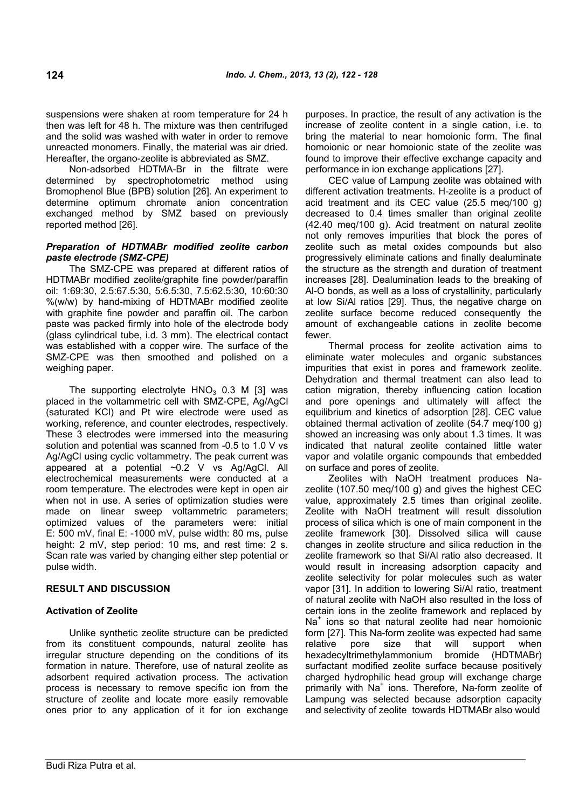suspensions were shaken at room temperature for 24 h then was left for 48 h. The mixture was then centrifuged and the solid was washed with water in order to remove unreacted monomers. Finally, the material was air dried. Hereafter, the organo-zeolite is abbreviated as SMZ.

Non-adsorbed HDTMA-Br in the filtrate were determined by spectrophotometric method using Bromophenol Blue (BPB) solution [26]. An experiment to determine optimum chromate anion concentration exchanged method by SMZ based on previously reported method [26].

## *Preparation of HDTMABr modified zeolite carbon paste electrode (SMZ-CPE)*

The SMZ-CPE was prepared at different ratios of HDTMABr modified zeolite/graphite fine powder/paraffin oil: 1:69:30, 2.5:67.5:30, 5:6.5:30, 7.5:62.5:30, 10:60:30 %(w/w) by hand-mixing of HDTMABr modified zeolite with graphite fine powder and paraffin oil. The carbon paste was packed firmly into hole of the electrode body (glass cylindrical tube, i.d. 3 mm). The electrical contact was established with a copper wire. The surface of the SMZ-CPE was then smoothed and polished on a weighing paper.

The supporting electrolyte  $HNO<sub>3</sub>$  0.3 M [3] was placed in the voltammetric cell with SMZ-CPE, Ag/AgCl (saturated KCl) and Pt wire electrode were used as working, reference, and counter electrodes, respectively. These 3 electrodes were immersed into the measuring solution and potential was scanned from -0.5 to 1.0 V vs Ag/AgCl using cyclic voltammetry. The peak current was appeared at a potential ~0.2 V vs Ag/AgCl. All electrochemical measurements were conducted at a room temperature. The electrodes were kept in open air when not in use. A series of optimization studies were made on linear sweep voltammetric parameters; optimized values of the parameters were: initial E: 500 mV, final E: -1000 mV, pulse width: 80 ms, pulse height: 2 mV, step period: 10 ms, and rest time: 2 s. Scan rate was varied by changing either step potential or pulse width.

## **RESULT AND DISCUSSION**

## **Activation of Zeolite**

Unlike synthetic zeolite structure can be predicted from its constituent compounds, natural zeolite has irregular structure depending on the conditions of its formation in nature. Therefore, use of natural zeolite as adsorbent required activation process. The activation process is necessary to remove specific ion from the structure of zeolite and locate more easily removable ones prior to any application of it for ion exchange

purposes. In practice, the result of any activation is the increase of zeolite content in a single cation, i.e. to bring the material to near homoionic form. The final homoionic or near homoionic state of the zeolite was found to improve their effective exchange capacity and performance in ion exchange applications [27].

CEC value of Lampung zeolite was obtained with different activation treatments. H-zeolite is a product of acid treatment and its CEC value (25.5 meq/100 g) decreased to 0.4 times smaller than original zeolite (42.40 meq/100 g). Acid treatment on natural zeolite not only removes impurities that block the pores of zeolite such as metal oxides compounds but also progressively eliminate cations and finally dealuminate the structure as the strength and duration of treatment increases [28]. Dealumination leads to the breaking of Al-O bonds, as well as a loss of crystallinity, particularly at low Si/Al ratios [29]. Thus, the negative charge on zeolite surface become reduced consequently the amount of exchangeable cations in zeolite become fewer.

Thermal process for zeolite activation aims to eliminate water molecules and organic substances impurities that exist in pores and framework zeolite. Dehydration and thermal treatment can also lead to cation migration, thereby influencing cation location and pore openings and ultimately will affect the equilibrium and kinetics of adsorption [28]. CEC value obtained thermal activation of zeolite (54.7 meq/100 g) showed an increasing was only about 1.3 times. It was indicated that natural zeolite contained little water vapor and volatile organic compounds that embedded on surface and pores of zeolite.

Zeolites with NaOH treatment produces Nazeolite (107.50 meq/100 g) and gives the highest CEC value, approximately 2.5 times than original zeolite. Zeolite with NaOH treatment will result dissolution process of silica which is one of main component in the zeolite framework [30]. Dissolved silica will cause changes in zeolite structure and silica reduction in the zeolite framework so that Si/Al ratio also decreased. It would result in increasing adsorption capacity and zeolite selectivity for polar molecules such as water vapor [31]. In addition to lowering Si/Al ratio, treatment of natural zeolite with NaOH also resulted in the loss of certain ions in the zeolite framework and replaced by Na<sup>+</sup> ions so that natural zeolite had near homoionic form [27]. This Na-form zeolite was expected had same relative pore size that will support when hexadecyltrimethylammonium bromide (HDTMABr) surfactant modified zeolite surface because positively charged hydrophilic head group will exchange charge primarily with Na<sup>+</sup> ions. Therefore, Na-form zeolite of Lampung was selected because adsorption capacity and selectivity of zeolite towards HDTMABr also would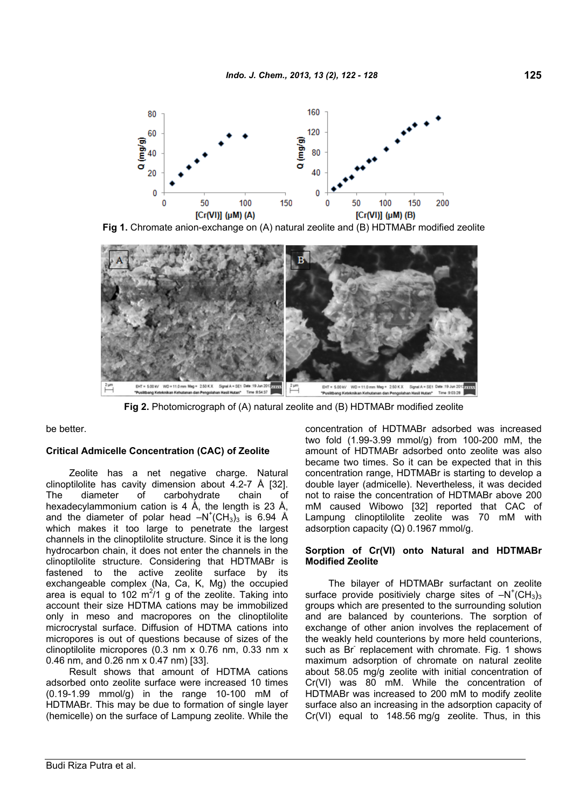

**Fig 1.** Chromate anion-exchange on (A) natural zeolite and (B) HDTMABr modified zeolite



**Fig 2.** Photomicrograph of (A) natural zeolite and (B) HDTMABr modified zeolite

be better.

## **Critical Admicelle Concentration (CAC) of Zeolite**

Zeolite has a net negative charge. Natural clinoptilolite has cavity dimension about 4.2-7 Å [32]. The diameter of carbohydrate chain of hexadecylammonium cation is 4 Å, the length is 23 Å, and the diameter of polar head  $-N^+(CH_3)_3$  is 6.94 Å which makes it too large to penetrate the largest channels in the clinoptilolite structure. Since it is the long hydrocarbon chain, it does not enter the channels in the clinoptilolite structure. Considering that HDTMABr is fastened to the active zeolite surface by its exchangeable complex (Na, Ca, K, Mg) the occupied area is equal to 102  $m^2/1$  g of the zeolite. Taking into account their size HDTMA cations may be immobilized only in meso and macropores on the clinoptilolite microcrystal surface. Diffusion of HDTMA cations into micropores is out of questions because of sizes of the clinoptilolite micropores (0.3 nm x 0.76 nm, 0.33 nm x 0.46 nm, and 0.26 nm x 0.47 nm) [33].

Result shows that amount of HDTMA cations adsorbed onto zeolite surface were increased 10 times (0.19-1.99 mmol/g) in the range 10-100 mM of HDTMABr. This may be due to formation of single layer (hemicelle) on the surface of Lampung zeolite. While the concentration of HDTMABr adsorbed was increased two fold (1.99-3.99 mmol/g) from 100-200 mM, the amount of HDTMABr adsorbed onto zeolite was also became two times. So it can be expected that in this concentration range, HDTMABr is starting to develop a double layer (admicelle). Nevertheless, it was decided not to raise the concentration of HDTMABr above 200 mM caused Wibowo [32] reported that CAC of Lampung clinoptilolite zeolite was 70 mM with adsorption capacity (Q) 0.1967 mmol/g.

## **Sorption of Cr(VI) onto Natural and HDTMABr Modified Zeolite**

The bilayer of HDTMABr surfactant on zeolite surface provide positiviely charge sites of  $-N^+(CH_3)_3$ groups which are presented to the surrounding solution and are balanced by counterions. The sorption of exchange of other anion involves the replacement of the weakly held counterions by more held counterions, such as Br replacement with chromate. Fig. 1 shows maximum adsorption of chromate on natural zeolite about 58.05 mg/g zeolite with initial concentration of Cr(VI) was 80 mM. While the concentration of HDTMABr was increased to 200 mM to modify zeolite surface also an increasing in the adsorption capacity of Cr(VI) equal to 148.56 mg/g zeolite. Thus, in this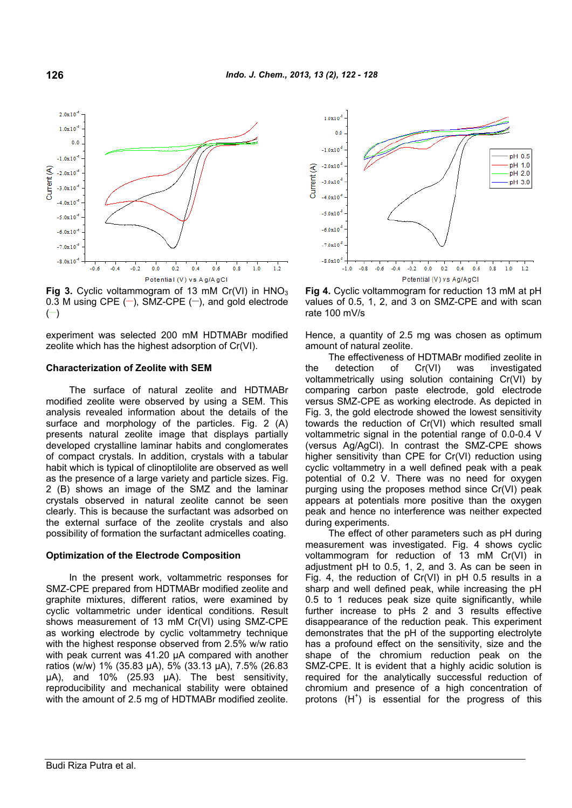

**Fig 3.** Cyclic voltammogram of 13 mM Cr(VI) in HNO<sub>3</sub> 0.3 M using CPE  $(-)$ , SMZ-CPE  $(-)$ , and gold electrode  $(-)$ 

experiment was selected 200 mM HDTMABr modified zeolite which has the highest adsorption of Cr(VI).

### **Characterization of Zeolite with SEM**

The surface of natural zeolite and HDTMABr modified zeolite were observed by using a SEM. This analysis revealed information about the details of the surface and morphology of the particles. Fig. 2 (A) presents natural zeolite image that displays partially developed crystalline laminar habits and conglomerates of compact crystals. In addition, crystals with a tabular habit which is typical of clinoptilolite are observed as well as the presence of a large variety and particle sizes. Fig. 2 (B) shows an image of the SMZ and the laminar crystals observed in natural zeolite cannot be seen clearly. This is because the surfactant was adsorbed on the external surface of the zeolite crystals and also possibility of formation the surfactant admicelles coating.

#### **Optimization of the Electrode Composition**

In the present work, voltammetric responses for SMZ-CPE prepared from HDTMABr modified zeolite and graphite mixtures, different ratios, were examined by cyclic voltammetric under identical conditions. Result shows measurement of 13 mM Cr(VI) using SMZ-CPE as working electrode by cyclic voltammetry technique with the highest response observed from 2.5% w/w ratio with peak current was 41.20 µA compared with another ratios (w/w) 1% (35.83 µA), 5% (33.13 µA), 7.5% (26.83 µA), and 10% (25.93 µA). The best sensitivity, reproducibility and mechanical stability were obtained with the amount of 2.5 mg of HDTMABr modified zeolite.



**Fig 4.** Cyclic voltammogram for reduction 13 mM at pH values of 0.5, 1, 2, and 3 on SMZ-CPE and with scan rate 100 mV/s

Hence, a quantity of 2.5 mg was chosen as optimum amount of natural zeolite.

The effectiveness of HDTMABr modified zeolite in the detection of Cr(VI) was investigated voltammetrically using solution containing Cr(VI) by comparing carbon paste electrode, gold electrode versus SMZ-CPE as working electrode. As depicted in Fig. 3, the gold electrode showed the lowest sensitivity towards the reduction of Cr(VI) which resulted small voltammetric signal in the potential range of 0.0-0.4 V (versus Ag/AgCl). In contrast the SMZ-CPE shows higher sensitivity than CPE for Cr(VI) reduction using cyclic voltammetry in a well defined peak with a peak potential of 0.2 V. There was no need for oxygen purging using the proposes method since Cr(VI) peak appears at potentials more positive than the oxygen peak and hence no interference was neither expected during experiments.

The effect of other parameters such as pH during measurement was investigated. Fig. 4 shows cyclic voltammogram for reduction of 13 mM Cr(VI) in adjustment pH to 0.5, 1, 2, and 3. As can be seen in Fig. 4, the reduction of Cr(VI) in pH 0.5 results in a sharp and well defined peak, while increasing the pH 0.5 to 1 reduces peak size quite significantly, while further increase to pHs 2 and 3 results effective disappearance of the reduction peak. This experiment demonstrates that the pH of the supporting electrolyte has a profound effect on the sensitivity, size and the shape of the chromium reduction peak on the SMZ-CPE. It is evident that a highly acidic solution is required for the analytically successful reduction of chromium and presence of a high concentration of protons (H<sup>+</sup>) is essential for the progress of this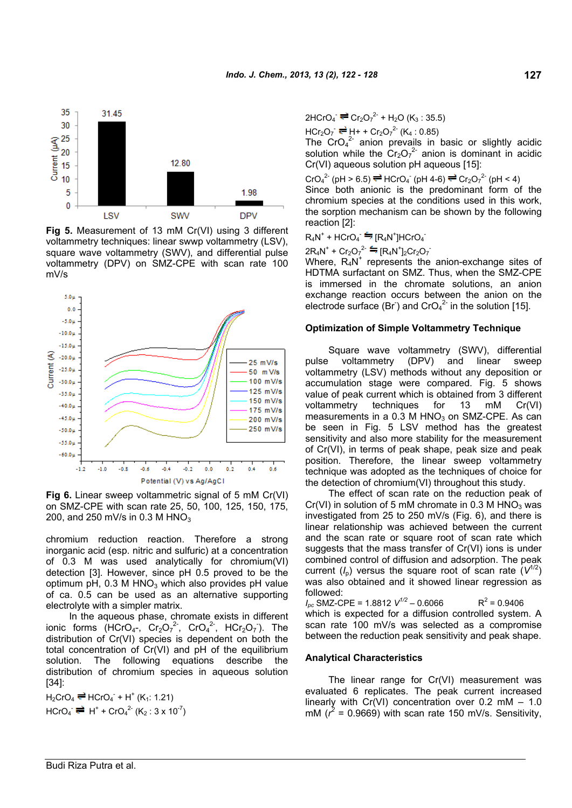

**Fig 5.** Measurement of 13 mM Cr(VI) using 3 different voltammetry techniques: linear swwp voltammetry (LSV), square wave voltammetry (SWV), and differential pulse voltammetry (DPV) on SMZ-CPE with scan rate 100 mV/s



**Fig 6.** Linear sweep voltammetric signal of 5 mM Cr(VI) on SMZ-CPE with scan rate 25, 50, 100, 125, 150, 175, 200, and 250 mV/s in 0.3 M HNO<sub>3</sub>

chromium reduction reaction. Therefore a strong inorganic acid (esp. nitric and sulfuric) at a concentration of 0.3 M was used analytically for chromium(VI) detection [3]. However, since pH 0.5 proved to be the optimum pH, 0.3 M HNO<sub>3</sub> which also provides pH value of ca. 0.5 can be used as an alternative supporting electrolyte with a simpler matrix.

In the aqueous phase, chromate exists in different ionic forms  $(HCrO<sub>4</sub>-, Cr<sub>2</sub>O<sub>7</sub><sup>2</sup>, CrO<sub>4</sub><sup>2</sup>, HCr<sub>2</sub>O<sub>7</sub>).$  The distribution of Cr(VI) species is dependent on both the total concentration of Cr(VI) and pH of the equilibrium solution. The following equations describe the distribution of chromium species in aqueous solution [34]:

 $H_2$ CrO<sub>4</sub>  $\rightleftharpoons$  HCrO<sub>4</sub><sup>-</sup> + H<sup>+</sup> (K<sub>1</sub>: 1.21)  $HCrO_4^- \stackrel{\longrightarrow}{\leftarrow} H^+ + CrO_4^2$ <sup>-</sup> (K<sub>2</sub> : 3 x 10<sup>-7</sup>)  $2HCrO<sub>4</sub> = Cr<sub>2</sub>O<sub>7</sub><sup>2-</sup> + H<sub>2</sub>O (K<sub>3</sub> : 35.5)$ 

 $HCr_2O_7 = H + Cr_2O_7^2$  (K<sub>4</sub> : 0.85)

The  $CrO<sub>4</sub><sup>2</sup>$  anion prevails in basic or slightly acidic solution while the  $Cr_2O_7^2$  anion is dominant in acidic Cr(VI) aqueous solution pH aqueous [15]:

 $\text{CrO}_4^2$  (pH > 6.5)  $\rightleftharpoons$  HCrO<sub>4</sub> (pH 4-6)  $\rightleftharpoons$  Cr<sub>2</sub>O<sub>7</sub><sup>2</sup> (pH < 4) Since both anionic is the predominant form of the chromium species at the conditions used in this work, the sorption mechanism can be shown by the following reaction [2]:

 $RAN^+ + HCrO_4^- \stackrel{\epsilon}{\Longrightarrow} [R_4N^+] HCrO_4^-$ 

$$
2R_4N^+ + Cr_2O_7^2 = [R_4N^+]_2Cr_2O_7
$$

Where,  $R_4N^+$  represents the anion-exchange sites of HDTMA surfactant on SMZ. Thus, when the SMZ-CPE is immersed in the chromate solutions, an anion exchange reaction occurs between the anion on the electrode surface (Br<sup>-</sup>) and CrO<sub>4</sub><sup>2-</sup> in the solution [15].

#### **Optimization of Simple Voltammetry Technique**

Square wave voltammetry (SWV), differential pulse voltammetry (DPV) and linear sweep voltammetry (LSV) methods without any deposition or accumulation stage were compared. Fig. 5 shows value of peak current which is obtained from 3 different voltammetry techniques for 13 mM Cr(VI) measurements in a  $0.3$  M HNO<sub>3</sub> on SMZ-CPE. As can be seen in Fig. 5 LSV method has the greatest sensitivity and also more stability for the measurement of Cr(VI), in terms of peak shape, peak size and peak position. Therefore, the linear sweep voltammetry technique was adopted as the techniques of choice for the detection of chromium(VI) throughout this study.

The effect of scan rate on the reduction peak of  $Cr(VI)$  in solution of 5 mM chromate in 0.3 M HNO<sub>3</sub> was investigated from 25 to 250 mV/s (Fig. 6), and there is linear relationship was achieved between the current and the scan rate or square root of scan rate which suggests that the mass transfer of Cr(VI) ions is under combined control of diffusion and adsorption. The peak current  $(I_0)$  versus the square root of scan rate  $(V^{1/2})$ was also obtained and it showed linear regression as followed:

 $I_{\text{pc}}$  SMZ-CPE = 1.8812  $V^{1/2}$  – 0.6066  $R^2$  = 0.9406 which is expected for a diffusion controlled system. A scan rate 100 mV/s was selected as a compromise between the reduction peak sensitivity and peak shape.

### **Analytical Characteristics**

The linear range for Cr(VI) measurement was evaluated 6 replicates. The peak current increased linearly with  $Cr(VI)$  concentration over 0.2 mM  $-1.0$ mM  $(r^2 = 0.9669)$  with scan rate 150 mV/s. Sensitivity,